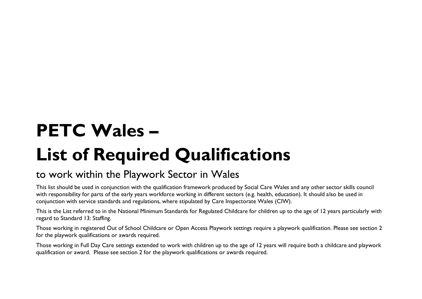# **PETC Wales – List of Required Qualifications**

## to work within the Playwork Sector in Wales

This list should be used in conjunction with the qualification framework produced by Social Care Wales and any other sector skills council with responsibility for parts of the early years workforce working in different sectors (e.g. health, education). It should also be used in conjunction with service standards and regulations, where stipulated by Care Inspectorate Wales (CIW).

This is the List referred to in the National Minimum Standards for Regulated Childcare for children up to the age of 12 years particularly with regard to Standard 13: Staffing.

Those working in registered Out of School Childcare or Open Access Playwork settings require a playwork qualification. Please see section 2 for the playwork qualifications or awards required.

Those working in Full Day Care settings extended to work with children up to the age of 12 years will require both a childcare and playwork qualification or award. Please see section 2 for the playwork qualifications or awards required.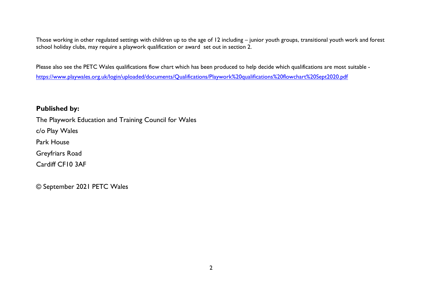Those working in other regulated settings with children up to the age of 12 including – junior youth groups, transitional youth work and forest school holiday clubs, may require a playwork qualification or award set out in section 2.

Please also see the PETC Wales qualifications flow chart which has been produced to help decide which qualifications are most suitable <https://www.playwales.org.uk/login/uploaded/documents/Qualifications/Playwork%20qualifications%20flowchart%20Sept2020.pdf>

#### **Published by:**

The Playwork Education and Training Council for Wales c/o Play Wales Park House Greyfriars Road

Cardiff CF10 3AF

© September 2021 PETC Wales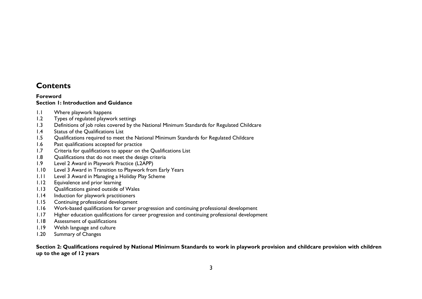## **Contents**

#### **Foreword Section 1: Introduction and Guidance**

- 1.1 Where playwork happens
- 1.2 Types of regulated playwork settings
- 1.3 Definitions of job roles covered by the National Minimum Standards for Regulated Childcare
- 1.4 Status of the Qualifications List
- 1.5 Qualifications required to meet the National Minimum Standards for Regulated Childcare
- 1.6 Past qualifications accepted for practice
- 1.7 Criteria for qualifications to appear on the Qualifications List
- 1.8 Qualifications that do not meet the design criteria
- 1.9 Level 2 Award in Playwork Practice (L2APP)
- 1.10 Level 3 Award in Transition to Playwork from Early Years
- 1.11 Level 3 Award in Managing a Holiday Play Scheme
- 1.12 Equivalence and prior learning
- 1.13 Qualifications gained outside of Wales
- 1.14 Induction for playwork practitioners
- 1.15 Continuing professional development
- 1.16 Work-based qualifications for career progression and continuing professional development
- 1.17 Higher education qualifications for career progression and continuing professional development
- 1.18 Assessment of qualifications
- 1.19 Welsh language and culture
- 1.20 Summary of Changes

#### **Section 2: Qualifications required by National Minimum Standards to work in playwork provision and childcare provision with children up to the age of 12 years**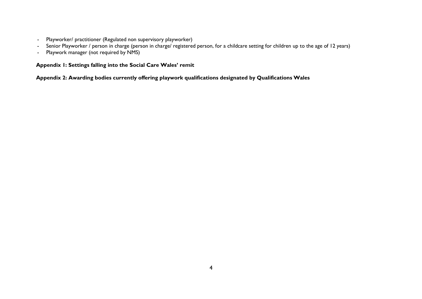- Playworker/ practitioner (Regulated non supervisory playworker)
- Senior Playworker / person in charge (person in charge/ registered person, for a childcare setting for children up to the age of 12 years)
- Playwork manager (not required by NMS)

#### **Appendix 1: Settings falling into the Social Care Wales' remit**

**Appendix 2: Awarding bodies currently offering playwork qualifications designated by Qualifications Wales**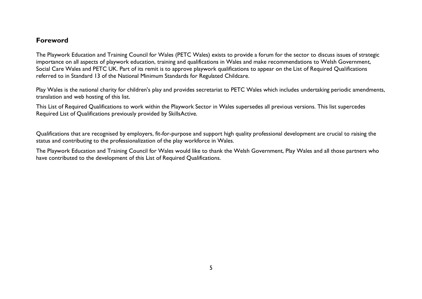#### **Foreword**

The Playwork Education and Training Council for Wales (PETC Wales) exists to provide a forum for the sector to discuss issues of strategic importance on all aspects of playwork education, training and qualifications in Wales and make recommendations to Welsh Government, Social Care Wales and PETC UK. Part of its remit is to approve playwork qualifications to appear on the List of Required Qualifications referred to in Standard 13 of the National Minimum Standards for Regulated Childcare.

Play Wales is the national charity for children's play and provides secretariat to PETC Wales which includes undertaking periodic amendments, translation and web hosting of this list.

This List of Required Qualifications to work within the Playwork Sector in Wales supersedes all previous versions. This list supercedes Required List of Qualifications previously provided by SkillsActive.

Qualifications that are recognised by employers, fit-for-purpose and support high quality professional development are crucial to raising the status and contributing to the professionalization of the play workforce in Wales.

The Playwork Education and Training Council for Wales would like to thank the Welsh Government, Play Wales and all those partners who have contributed to the development of this List of Required Qualifications.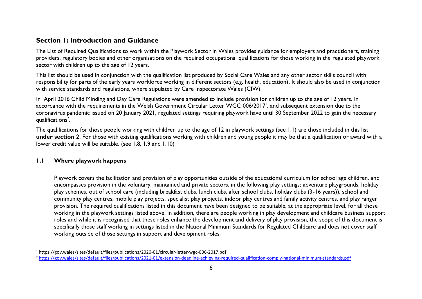#### **Section 1: Introduction and Guidance**

The List of Required Qualifications to work within the Playwork Sector in Wales provides guidance for employers and practitioners, training providers, regulatory bodies and other organisations on the required occupational qualifications for those working in the regulated playwork sector with children up to the age of 12 years.

This list should be used in conjunction with the qualification list produced by Social Care Wales and any other sector skills council with responsibility for parts of the early years workforce working in different sectors (e.g. health, education). It should also be used in conjunction with service standards and regulations, where stipulated by Care Inspectorate Wales (CIW).

In April 2016 Child Minding and Day Care Regulations were amended to include provision for children up to the age of 12 years. In accordance with the requirements in the Welsh Government Circular Letter WGC 006/2017<sup>1</sup>, and subsequent extension due to the coronavirus pandemic issued on 20 January 2021, regulated settings requiring playwork have until 30 September 2022 to gain the necessary qualifications<sup>2</sup>.

The qualifications for those people working with children up to the age of 12 in playwork settings (see 1.1) are those included in this list **under section 2**. For those with existing qualifications working with children and young people it may be that a qualification or award with a lower credit value will be suitable. (see 1.8, 1.9 and 1.10)

#### **1.1 Where playwork happens**

Playwork covers the facilitation and provision of play opportunities outside of the educational curriculum for school age children, and encompasses provision in the voluntary, maintained and private sectors, in the following play settings: adventure playgrounds, holiday play schemes, out of school care (including breakfast clubs, lunch clubs, after school clubs, holiday clubs (3-16 years)), school and community play centres, mobile play projects, specialist play projects, indoor play centres and family activity centres, and play ranger provision. The required qualifications listed in this document have been designed to be suitable, at the appropriate level, for all those working in the playwork settings listed above. In addition, there are people working in play development and childcare business support roles and while it is recognised that these roles enhance the development and delivery of play provision, the scope of this document is specifically those staff working in settings listed in the National Minimum Standards for Regulated Childcare and does not cover staff working outside of those settings in support and development roles.

<sup>1</sup> https://gov.wales/sites/default/files/publications/2020-01/circular-letter-wgc-006-2017.pdf

<sup>2</sup> <https://gov.wales/sites/default/files/publications/2021-01/extension-deadline-achieving-required-qualification-comply-national-minimum-standards.pdf>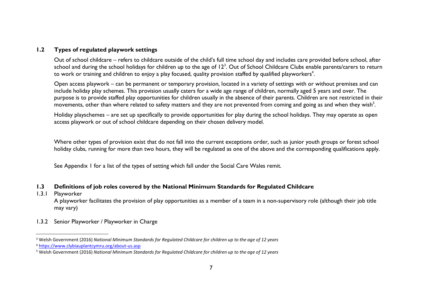#### **1.2 Types of regulated playwork settings**

Out of school childcare – refers to childcare outside of the child's full time school day and includes care provided before school, after school and during the school holidays for children up to the age of 12 $^3$ . Out of School Childcare Clubs enable parents/carers to return to work or training and children to enjoy a play focused, quality provision staffed by qualified playworkers $^{\rm 4}$ .

Open access playwork – can be permanent or temporary provision, located in a variety of settings with or without premises and can include holiday play schemes. This provision usually caters for a wide age range of children, normally aged 5 years and over. The purpose is to provide staffed play opportunities for children usually in the absence of their parents. Children are not restricted in their movements, other than where related to safety matters and they are not prevented from coming and going as and when they wish $^5$ .

Holiday playschemes – are set up specifically to provide opportunities for play during the school holidays. They may operate as open access playwork or out of school childcare depending on their chosen delivery model.

Where other types of provision exist that do not fall into the current exceptions order, such as junior youth groups or forest school holiday clubs, running for more than two hours, they will be regulated as one of the above and the corresponding qualifications apply.

See Appendix 1 for a list of the types of setting which fall under the Social Care Wales remit.

#### **1.3 Definitions of job roles covered by the National Minimum Standards for Regulated Childcare**

- 1.3.1 Playworker A playworker facilitates the provision of play opportunities as a member of a team in a non-supervisory role (although their job title may vary)
- 1.3.2 Senior Playworker / Playworker in Charge

<sup>3</sup> Welsh Government (2016) *National Minimum Standards for Regulated Childcare for children up to the age of 12 years*  <sup>4</sup> <https://www.clybiauplantcymru.org/about-us.asp>

<sup>5</sup> Welsh Government (2016) *National Minimum Standards for Regulated Childcare for children up to the age of 12 years*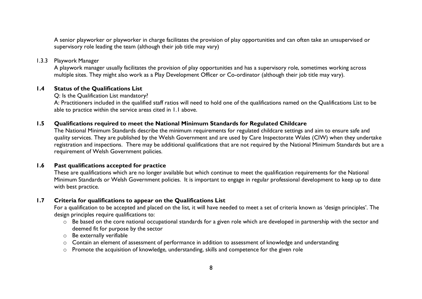A senior playworker or playworker in charge facilitates the provision of play opportunities and can often take an unsupervised or supervisory role leading the team (although their job title may vary)

#### 1.3.3 Playwork Manager

A playwork manager usually facilitates the provision of play opportunities and has a supervisory role, sometimes working across multiple sites. They might also work as a Play Development Officer or Co-ordinator (although their job title may vary).

#### **1.4 Status of the Qualifications List**

Q: Is the Qualification List mandatory?

A: Practitioners included in the qualified staff ratios will need to hold one of the qualifications named on the Qualifications List to be able to practice within the service areas cited in 1.1 above.

#### **1.5 Qualifications required to meet the National Minimum Standards for Regulated Childcare**

The National Minimum Standards describe the minimum requirements for regulated childcare settings and aim to ensure safe and quality services. They are published by the Welsh Government and are used by Care Inspectorate Wales (CIW) when they undertake registration and inspections. There may be additional qualifications that are not required by the National Minimum Standards but are a requirement of Welsh Government policies.

#### **1.6 Past qualifications accepted for practice**

These are qualifications which are no longer available but which continue to meet the qualification requirements for the National Minimum Standards or Welsh Government policies. It is important to engage in regular professional development to keep up to date with best practice.

#### **1.7 Criteria for qualifications to appear on the Qualifications List**

For a qualification to be accepted and placed on the list, it will have needed to meet a set of criteria known as 'design principles'. The design principles require qualifications to:

- o Be based on the core national occupational standards for a given role which are developed in partnership with the sector and deemed fit for purpose by the sector
- o Be externally verifiable
- o Contain an element of assessment of performance in addition to assessment of knowledge and understanding
- o Promote the acquisition of knowledge, understanding, skills and competence for the given role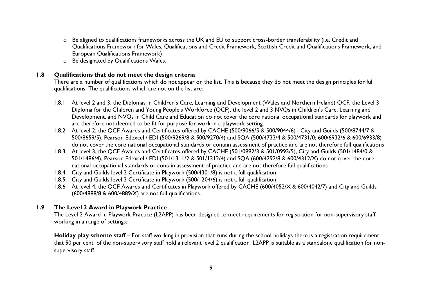- o Be aligned to qualifications frameworks across the UK and EU to support cross-border transferability (i.e. Credit and Qualifications Framework for Wales, Qualifications and Credit Framework, Scottish Credit and Qualifications Framework, and European Qualifications Framework)
- o Be designated by Qualifications Wales.

#### **1.8 Qualifications that do not meet the design criteria**

There are a number of qualifications which do not appear on the list. This is because they do not meet the design principles for full qualifications. The qualifications which are not on the list are:

- 1.8.1 At level 2 and 3, the Diplomas in Children's Care, Learning and Development (Wales and Northern Ireland) QCF, the Level 3 Diploma for the Children and Young People's Workforce (QCF), the level 2 and 3 NVQs in Children's Care, Learning and Development, and NVQs in Child Care and Education do not cover the core national occupational standards for playwork and are therefore not deemed to be fit for purpose for work in a playwork setting.
- 1.8.2 At level 2, the QCF Awards and Certificates offered by CACHE (500/9066/5 & 500/9044/6) , City and Guilds (500/8744/7 & 500/8659/5), Pearson Edexcel / EDI (500/9269/8 & 500/9270/4) and SQA (500/4733/4 & 500/4731/0; 600/6932/6 & 600/6933/8) do not cover the core national occupational standards or contain assessment of practice and are not therefore full qualifications
- 1.8.3 At level 3, the QCF Awards and Certificates offered by CACHE (501/0992/3 & 501/0993/5), City and Guilds (501/1484/0 & 501/1486/4), Pearson Edexcel / EDI (501/1311/2 & 501/1312/4) and SQA (600/4292/8 & 600/4312/X) do not cover the core national occupational standards or contain assessment of practice and are not therefore full qualifications
- 1.8.4 City and Guilds level 2 Certificate in Playwork (500/4301/8) is not a full qualification
- 1.8.5 City and Guilds level 3 Certificate in Playwork (500/1204/6) is not a full qualification
- 1.8.6 At level 4, the QCF Awards and Certificates in Playwork offered by CACHE (600/4052/X & 600/4042/7) and City and Guilds (600/4888/8 & 600/4889/X) are not full qualifications.

#### **1.9 The Level 2 Award in Playwork Practice**

The Level 2 Award in Playwork Practice (L2APP) has been designed to meet requirements for registration for non-supervisory staff working in a range of settings:

**Holiday play scheme staff** – For staff working in provision that runs during the school holidays there is a registration requirement that 50 per cent of the non-supervisory staff hold a relevant level 2 qualification. L2APP is suitable as a standalone qualification for nonsupervisory staff.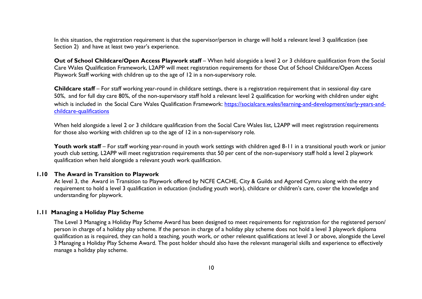In this situation, the registration requirement is that the supervisor/person in charge will hold a relevant level 3 qualification (see Section 2) and have at least two year's experience.

**Out of School Childcare/Open Access Playwork staff** – When held alongside a level 2 or 3 childcare qualification from the Social Care Wales Qualification Framework, L2APP will meet registration requirements for those Out of School Childcare/Open Access Playwork Staff working with children up to the age of 12 in a non-supervisory role.

**Childcare staff** – For staff working year-round in childcare settings, there is a registration requirement that in sessional day care 50%, and for full day care 80%, of the non-supervisory staff hold a relevant level 2 qualification for working with children under eight which is included in the Social Care Wales Qualification Framework: [https://socialcare.wales/learning-and-development/early-years-and](https://socialcare.wales/learning-and-development/early-years-and-childcare-qualifications)[childcare-qualifications](https://socialcare.wales/learning-and-development/early-years-and-childcare-qualifications)

When held alongside a level 2 or 3 childcare qualification from the Social Care Wales list, L2APP will meet registration requirements for those also working with children up to the age of 12 in a non-supervisory role.

Youth work staff – For staff working year-round in youth work settings with children aged 8-11 in a transitional youth work or junior youth club setting, L2APP will meet registration requirements that 50 per cent of the non-supervisory staff hold a level 2 playwork qualification when held alongside a relevant youth work qualification.

#### **1.10 The Award in Transition to Playwork**

At level 3, the Award in Transition to Playwork offered by NCFE CACHE, City & Guilds and Agored Cymru along with the entry requirement to hold a level 3 qualification in education (including youth work), childcare or children's care, cover the knowledge and understanding for playwork.

#### **1.11 Managing a Holiday Play Scheme**

The Level 3 Managing a Holiday Play Scheme Award has been designed to meet requirements for registration for the registered person/ person in charge of a holiday play scheme. If the person in charge of a holiday play scheme does not hold a level 3 playwork diploma qualification as is required, they can hold a teaching, youth work, or other relevant qualifications at level 3 or above, alongside the Level 3 Managing a Holiday Play Scheme Award. The post holder should also have the relevant managerial skills and experience to effectively manage a holiday play scheme.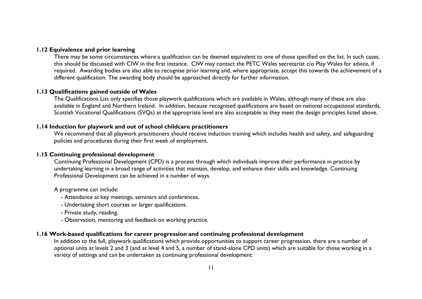#### **1.12 Equivalence and prior learning**

There may be some circumstances where a qualification can be deemed equivalent to one of those specified on the list. In such cases, this should be discussed with CIW in the first instance. CIW may contact the PETC Wales secretariat c/o Play Wales for advice, if required. Awarding bodies are also able to recognise prior learning and, where appropriate, accept this towards the achievement of a different qualification. The awarding body should be approached directly for further information.

#### **1.13 Qualifications gained outside of Wales**

The Qualifications List only specifies those playwork qualifications which are available in Wales, although many of these are also available in England and Northern Ireland. In addition, because recognised qualifications are based on national occupational standards, Scottish Vocational Qualifications (SVQs) at the appropriate level are also acceptable as they meet the design principles listed above.

#### **1.14 Induction for playwork and out of school childcare practitioners**

We recommend that all playwork practitioners should receive induction training which includes health and safety, and safeguarding policies and procedures during their first week of employment.

#### **1.15 Continuing professional development**

Continuing Professional Development (CPD) is a process through which individuals improve their performance in practice by undertaking learning in a broad range of activities that maintain, develop, and enhance their skills and knowledge. Continuing Professional Development can be achieved in a number of ways.

#### A programme can include:

- Attendance at key meetings, seminars and conferences.
- Undertaking short courses or larger qualifications.
- Private study, reading.
- Observation, mentoring and feedback on working practice.

#### **1.16 Work-based qualifications for career progression and continuing professional development**

In addition to the full, playwork qualifications which provide opportunities to support career progression, there are a number of optional units at levels 2 and 3 (and at level 4 and 5, a number of stand-alone CPD units) which are suitable for those working in a variety of settings and can be undertaken as continuing professional development.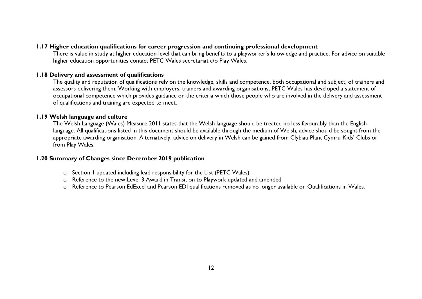#### **1.17 Higher education qualifications for career progression and continuing professional development**

There is value in study at higher education level that can bring benefits to a playworker's knowledge and practice. For advice on suitable higher education opportunities contact PETC Wales secretariat c/o Play Wales.

#### **1.18 Delivery and assessment of qualifications**

The quality and reputation of qualifications rely on the knowledge, skills and competence, both occupational and subject, of trainers and assessors delivering them. Working with employers, trainers and awarding organisations, PETC Wales has developed a statement of occupational competence which provides guidance on the criteria which those people who are involved in the delivery and assessment of qualifications and training are expected to meet.

#### **1.19 Welsh language and culture**

The Welsh Language (Wales) Measure 2011 states that the Welsh language should be treated no less favourably than the English language. All qualifications listed in this document should be available through the medium of Welsh, advice should be sought from the appropriate awarding organisation. Alternatively, advice on delivery in Welsh can be gained from Clybiau Plant Cymru Kids' Clubs or from Play Wales.

#### **1.20 Summary of Changes since December 2019 publication**

- o Section 1 updated including lead responsibility for the List (PETC Wales)
- o Reference to the new Level 3 Award in Transition to Playwork updated and amended
- o Reference to Pearson EdExcel and Pearson EDI qualifications removed as no longer available on Qualifications in Wales.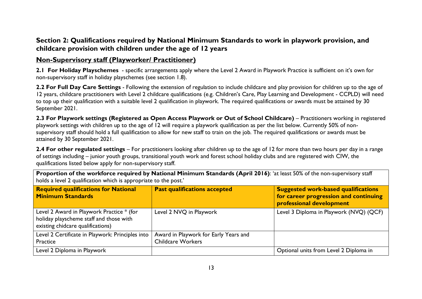## **Section 2: Qualifications required by National Minimum Standards to work in playwork provision, and childcare provision with children under the age of 12 years**

### **Non-Supervisory staff (Playworker/ Practitioner)**

**2.1 For Holiday Playschemes** - specific arrangements apply where the Level 2 Award in Playwork Practice is sufficient on it's own for non-supervisory staff in holiday playschemes (see section 1.8).

**2.2 For Full Day Care Settings** - Following the extension of regulation to include childcare and play provision for children up to the age of 12 years, childcare practitioners with Level 2 childcare qualifications (e.g. Children's Care, Play Learning and Development - CCPLD) will need to top up their qualification with a suitable level 2 qualification in playwork. The required qualifications or awards must be attained by 30 September 2021.

**2.3 For Playwork settings (Registered as Open Access Playwork or Out of School Childcare)** – Practitioners working in registered playwork settings with children up to the age of 12 will require a playwork qualification as per the list below. Currently 50% of nonsupervisory staff should hold a full qualification to allow for new staff to train on the job. The required qualifications or awards must be attained by 30 September 2021.

**2.4 For other regulated settings** *–* For practitioners looking after children up to the age of 12 for more than two hours per day in a range of settings including – junior youth groups, transitional youth work and forest school holiday clubs and are registered with CIW, the qualifications listed below apply for non-supervisory staff.

**Proportion of the workforce required by National Minimum Standards (April 2016)**: 'at least 50% of the non-supervisory staff holds a level 2 qualification which is appropriate to the post.'

| <b>Required qualifications for National</b><br><b>Minimum Standards</b>                                                   | <b>Past qualifications accepted</b>                               | <b>Suggested work-based qualifications</b><br>for career progression and continuing<br>professional development |
|---------------------------------------------------------------------------------------------------------------------------|-------------------------------------------------------------------|-----------------------------------------------------------------------------------------------------------------|
| Level 2 Award in Playwork Practice * (for<br>holiday playscheme staff and those with<br>existing chidcare qualifications) | Level 2 NVQ in Playwork                                           | Level 3 Diploma in Playwork (NVQ) (QCF)                                                                         |
| Level 2 Certificate in Playwork: Principles into<br>Practice                                                              | Award in Playwork for Early Years and<br><b>Childcare Workers</b> |                                                                                                                 |
| Level 2 Diploma in Playwork                                                                                               |                                                                   | Optional units from Level 2 Diploma in                                                                          |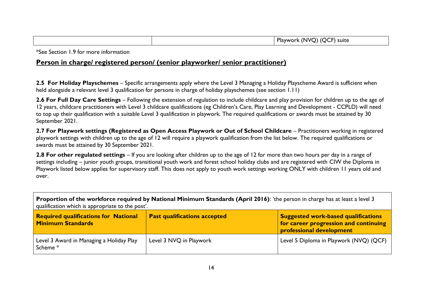|  | Playwork,<br>$\sim$ $\sim$ $\sim$<br><b>INVC</b><br>suite »<br>וששו<br>. |
|--|--------------------------------------------------------------------------|
|  |                                                                          |

\*See Section 1.9 for more information

#### **Person in charge/ registered person/ (senior playworker/ senior practitioner)**

**2.5 For Holiday Playschemes** – Specific arrangements apply where the Level 3 Managing a Holiday Playscheme Award is sufficient when held alongside a relevant level 3 qualification for persons in charge of holiday playschemes (see section 1.11)

**2.6 For Full Day Care Settings** – Following the extension of regulation to include childcare and play provision for children up to the age of 12 years, childcare practitioners with Level 3 childcare qualifications (eg Children's Care, Play Learning and Development - CCPLD) will need to top up their qualification with a suitable Level 3 qualification in playwork. The required qualifications or awards must be attained by 30 September 2021.

**2.7 For Playwork settings (Registered as Open Access Playwork or Out of School Childcare** – Practitioners working in registered playwork settings with children up to the age of 12 will require a playwork qualification from the list below. The required qualifications or awards must be attained by 30 September 2021.

**2.8 For other regulated settings** *–* If you are looking after children up to the age of 12 for more than two hours per day in a range of settings including – junior youth groups, transitional youth work and forest school holiday clubs and are registered with CIW the Diploma in Playwork listed below applies for supervisory staff. This does not apply to youth work settings working ONLY with children 11 years old and over.

| Proportion of the workforce required by National Minimum Standards (April 2016): 'the person in charge has at least a level 3 |  |
|-------------------------------------------------------------------------------------------------------------------------------|--|
| qualification which is appropriate to the post'.                                                                              |  |

| <b>Required qualifications for National</b><br><b>Minimum Standards</b> | <b>Past qualifications accepted</b> | <b>Suggested work-based qualifications</b><br>for career progression and continuing<br>professional development |
|-------------------------------------------------------------------------|-------------------------------------|-----------------------------------------------------------------------------------------------------------------|
| Level 3 Award in Managing a Holiday Play<br>Scheme <sup>*</sup>         | Level 3 NVQ in Playwork             | Level 5 Diploma in Playwork (NVQ) (QCF)                                                                         |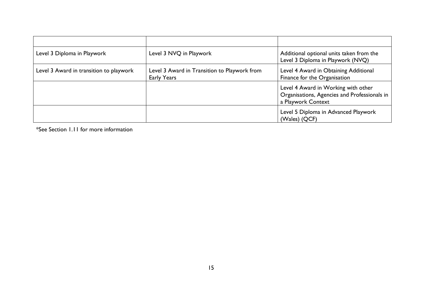| Level 3 Diploma in Playwork             | Level 3 NVQ in Playwork                                     | Additional optional units taken from the<br>Level 3 Diploma in Playwork (NVQ)                             |
|-----------------------------------------|-------------------------------------------------------------|-----------------------------------------------------------------------------------------------------------|
| Level 3 Award in transition to playwork | Level 3 Award in Transition to Playwork from<br>Early Years | Level 4 Award in Obtaining Additional<br>Finance for the Organisation                                     |
|                                         |                                                             | Level 4 Award in Working with other<br>Organisations, Agencies and Professionals in<br>a Playwork Context |
|                                         |                                                             | Level 5 Diploma in Advanced Playwork<br>(Wales) (QCF)                                                     |

\*See Section 1.11 for more information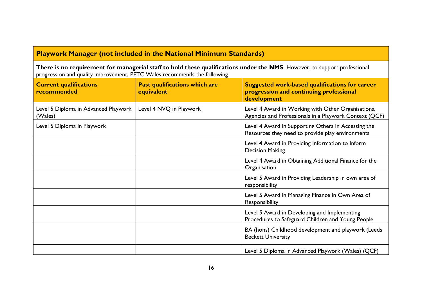## **Playwork Manager (not included in the National Minimum Standards)**

**There is no requirement for managerial staff to hold these qualifications under the NMS**. However, to support professional progression and quality improvement, PETC Wales recommends the following

| <b>Current qualifications</b><br>recommended    | Past qualifications which are<br>equivalent | <b>Suggested work-based qualifications for career</b><br>progression and continuing professional<br>development |
|-------------------------------------------------|---------------------------------------------|-----------------------------------------------------------------------------------------------------------------|
| Level 5 Diploma in Advanced Playwork<br>(Wales) | Level 4 NVQ in Playwork                     | Level 4 Award in Working with Other Organisations,<br>Agencies and Professionals in a Playwork Context (QCF)    |
| Level 5 Diploma in Playwork                     |                                             | Level 4 Award in Supporting Others in Accessing the<br>Resources they need to provide play environments         |
|                                                 |                                             | Level 4 Award in Providing Information to Inform<br><b>Decision Making</b>                                      |
|                                                 |                                             | Level 4 Award in Obtaining Additional Finance for the<br>Organisation                                           |
|                                                 |                                             | Level 5 Award in Providing Leadership in own area of<br>responsibility                                          |
|                                                 |                                             | Level 5 Award in Managing Finance in Own Area of<br>Responsibility                                              |
|                                                 |                                             | Level 5 Award in Developing and Implementing<br>Procedures to Safeguard Children and Young People               |
|                                                 |                                             | BA (hons) Childhood development and playwork (Leeds<br><b>Beckett University</b>                                |
|                                                 |                                             | Level 5 Diploma in Advanced Playwork (Wales) (QCF)                                                              |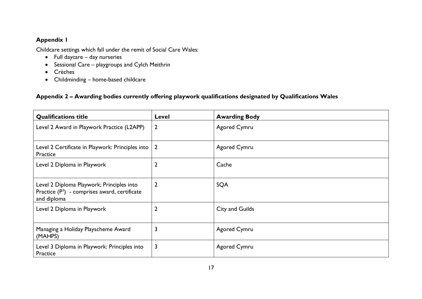#### **Appendix 1**

Childcare settings which fall under the remit of Social Care Wales:

- Full daycare day nurseries
- Sessional Care playgroups and Cylch Meithrin
- Crèches
- Childminding home-based childcare

#### **Appendix 2 – Awarding bodies currently offering playwork qualifications designated by Qualifications Wales**

| <b>Qualifications title</b>                                                                                           | Level                   | <b>Awarding Body</b> |
|-----------------------------------------------------------------------------------------------------------------------|-------------------------|----------------------|
| Level 2 Award in Playwork Practice (L2APP)                                                                            | $\overline{2}$          | <b>Agored Cymru</b>  |
| Level 2 Certificate in Playwork: Principles into<br>Practice                                                          | $\sqrt{2}$              | <b>Agored Cymru</b>  |
| Level 2 Diploma in Playwork                                                                                           | $\overline{2}$          | Cache                |
| Level 2 Diploma Playwork; Principles into<br>Practice (P <sup>3</sup> ) - comprises award, certificate<br>and diploma | $\overline{2}$          | SQA                  |
| Level 2 Diploma in Playwork                                                                                           | $\overline{2}$          | City and Guilds      |
| Managing a Holiday Playscheme Award<br>(MAHPS)                                                                        | $\overline{\mathbf{3}}$ | Agored Cymru         |
| Level 3 Diploma in Playwork: Principles into<br>Practice                                                              | $\overline{\mathbf{3}}$ | <b>Agored Cymru</b>  |